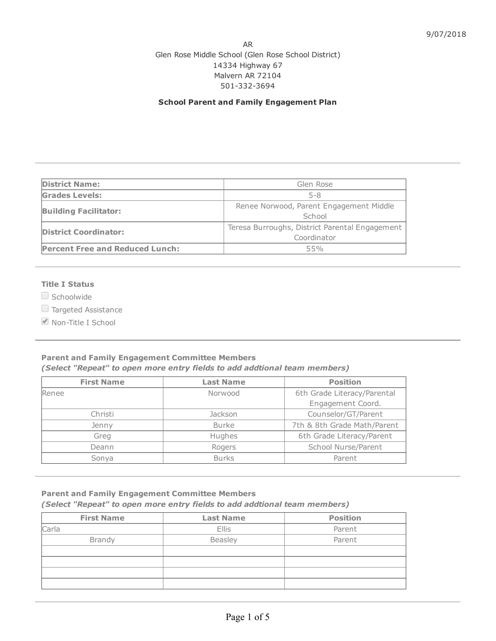## AR Glen Rose Middle School (Glen Rose School District) 14334 Highway 67 Malvern AR 72104 501-332-3694

## School Parent and Family Engagement Plan

| <b>District Name:</b>                  | Glen Rose                                                     |  |
|----------------------------------------|---------------------------------------------------------------|--|
| <b>Grades Levels:</b>                  | 5-8                                                           |  |
| <b>Building Facilitator:</b>           | Renee Norwood, Parent Engagement Middle<br>School             |  |
| <b>District Coordinator:</b>           | Teresa Burroughs, District Parental Engagement<br>Coordinator |  |
| <b>Percent Free and Reduced Lunch:</b> | 55%                                                           |  |

## Title I Status

 $\Box$  Schoolwide

Targeted Assistance

■ Non-Title I School

## Parent and Family Engagement Committee Members (Select "Repeat" to open more entry fields to add addtional team members)

| <b>First Name</b> | <b>Last Name</b> | <b>Position</b>             |  |
|-------------------|------------------|-----------------------------|--|
| Renee             | Norwood          |                             |  |
|                   |                  | Engagement Coord.           |  |
| Christi           | <b>Jackson</b>   | Counselor/GT/Parent         |  |
| Jenny             | <b>Burke</b>     | 7th & 8th Grade Math/Parent |  |
| Greg              | Hughes           | 6th Grade Literacy/Parent   |  |
| Deann             | Rogers           | School Nurse/Parent         |  |
| Sonya             | <b>Burks</b>     | Parent                      |  |

# Parent and Family Engagement Committee Members

# (Select "Repeat" to open more entry fields to add addtional team members)

| <b>First Name</b> | <b>Last Name</b> | <b>Position</b> |  |
|-------------------|------------------|-----------------|--|
| Carla             | <b>Ellis</b>     | Parent          |  |
| <b>Brandy</b>     | Beasley          | Parent          |  |
|                   |                  |                 |  |
|                   |                  |                 |  |
|                   |                  |                 |  |
|                   |                  |                 |  |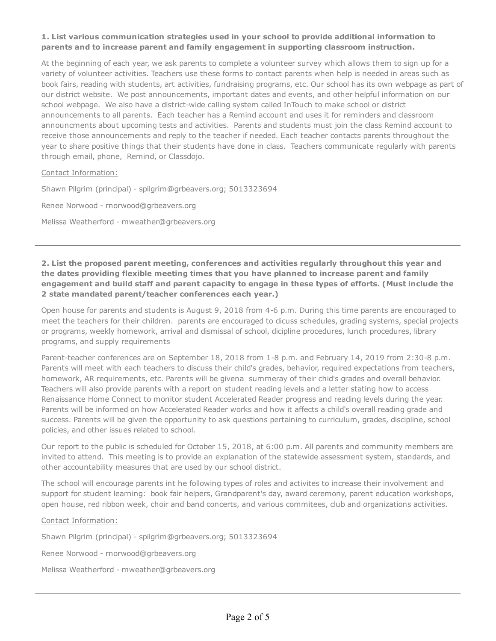# 1. List various communication strategies used in your school to provide additional information to parents and to increase parent and family engagement in supporting classroom instruction.

At the beginning of each year, we ask parents to complete a volunteer survey which allows them to sign up for a variety of volunteer activities. Teachers use these forms to contact parents when help is needed in areas such as book fairs, reading with students, art activities, fundraising programs, etc. Our school has its own webpage as part of our district website. We post announcements, important dates and events, and other helpful information on our school webpage. We also have a district-wide calling system called InTouch to make school or district announcements to all parents. Each teacher has a Remind account and uses it for reminders and classroom announcments about upcoming tests and activities. Parents and students must join the class Remind account to receive those announcements and reply to the teacher if needed. Each teacher contacts parents throughout the year to share positive things that their students have done in class. Teachers communicate regularly with parents through email, phone, Remind, or Classdojo.

Contact Information:

Shawn Pilgrim (principal) - spilgrim@grbeavers.org; 5013323694

Renee Norwood - rnorwood@grbeavers.org

Melissa Weatherford - mweather@grbeavers.org

2. List the proposed parent meeting, conferences and activities regularly throughout this year and the dates providing flexible meeting times that you have planned to increase parent and family engagement and build staff and parent capacity to engage in these types of efforts. (Must include the 2 state mandated parent/teacher conferences each year.)

Open house for parents and students is August 9, 2018 from 4-6 p.m. During this time parents are encouraged to meet the teachers for their children. parents are encouraged to dicuss schedules, grading systems, special projects or programs, weekly homework, arrival and dismissal of school, dicipline procedures, lunch procedures, library programs, and supply requirements

Parent-teacher conferences are on September 18, 2018 from 1-8 p.m. and February 14, 2019 from 2:30-8 p.m. Parents will meet with each teachers to discuss their child's grades, behavior, required expectations from teachers, homework, AR requirements, etc. Parents will be givena summeray of their chid's grades and overall behavior. Teachers will also provide parents with a report on student reading levels and a letter stating how to access Renaissance Home Connect to monitor student Accelerated Reader progress and reading levels during the year. Parents will be informed on how Accelerated Reader works and how it affects a child's overall reading grade and success. Parents will be given the opportunity to ask questions pertaining to curriculum, grades, discipline, school policies, and other issues related to school.

Our report to the public is scheduled for October 15, 2018, at 6:00 p.m. All parents and community members are invited to attend. This meeting is to provide an explanation of the statewide assessment system, standards, and other accountability measures that are used by our school district.

The school will encourage parents int he following types of roles and activites to increase their involvement and support for student learning: book fair helpers, Grandparent's day, award ceremony, parent education workshops, open house, red ribbon week, choir and band concerts, and various commitees, club and organizations activities.

#### Contact Information:

Shawn Pilgrim (principal) - spilgrim@grbeavers.org; 5013323694

Renee Norwood - rnorwood@grbeavers.org

Melissa Weatherford - mweather@grbeavers.org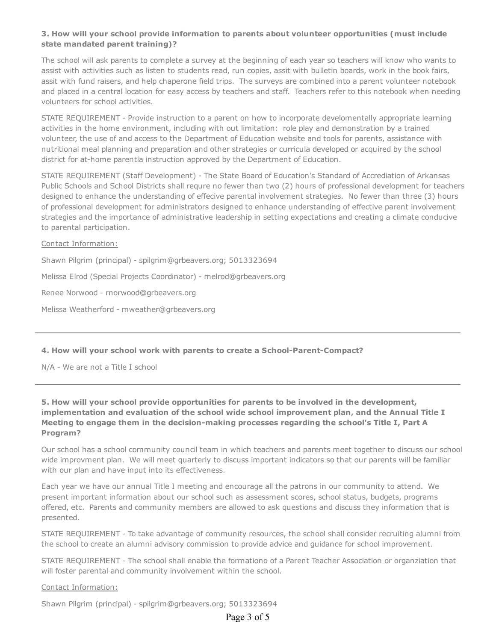# 3. How will your school provide information to parents about volunteer opportunities (must include state mandated parent training)?

The school will ask parents to complete a survey at the beginning of each year so teachers will know who wants to assist with activities such as listen to students read, run copies, assit with bulletin boards, work in the book fairs, assit with fund raisers, and help chaperone field trips. The surveys are combined into a parent volunteer notebook and placed in a central location for easy access by teachers and staff. Teachers refer to this notebook when needing volunteers for school activities.

STATE REQUIREMENT - Provide instruction to a parent on how to incorporate develomentally appropriate learning activities in the home environment, including with out limitation: role play and demonstration by a trained volunteer, the use of and access to the Department of Education website and tools for parents, assistance with nutritional meal planning and preparation and other strategies or curricula developed or acquired by the school district for at-home parentla instruction approved by the Department of Education.

STATE REQUIREMENT (Staff Development) - The State Board of Education's Standard of Accrediation of Arkansas Public Schools and School Districts shall requre no fewer than two (2) hours of professional development for teachers designed to enhance the understanding of effecive parental involvement strategies. No fewer than three (3) hours of professional development for administrators designed to enhance understanding of effective parent involvement strategies and the importance of administrative leadership in setting expectations and creating a climate conducive to parental participation.

## Contact Information:

Shawn Pilgrim (principal) - spilgrim@grbeavers.org; 5013323694 Melissa Elrod (Special Projects Coordinator) - melrod@grbeavers.org Renee Norwood - rnorwood@grbeavers.org Melissa Weatherford - mweather@grbeavers.org

## 4. How will your school work with parents to create a School-Parent-Compact?

N/A - We are not a Title I school

# 5. How will your school provide opportunities for parents to be involved in the development, implementation and evaluation of the school wide school improvement plan, and the Annual Title I Meeting to engage them in the decision-making processes regarding the school's Title I, Part A Program?

Our school has a school community council team in which teachers and parents meet together to discuss our school wide improvment plan. We will meet quarterly to discuss important indicators so that our parents will be familiar with our plan and have input into its effectiveness.

Each year we have our annual Title I meeting and encourage all the patrons in our community to attend. We present important information about our school such as assessment scores, school status, budgets, programs offered, etc. Parents and community members are allowed to ask questions and discuss they information that is presented.

STATE REQUIREMENT - To take advantage of community resources, the school shall consider recruiting alumni from the school to create an alumni advisory commission to provide advice and guidance for school improvement.

STATE REQUIREMENT - The school shall enable the formationo of a Parent Teacher Association or organziation that will foster parental and community involvement within the school.

#### Contact Information:

Shawn Pilgrim (principal) - spilgrim@grbeavers.org; 5013323694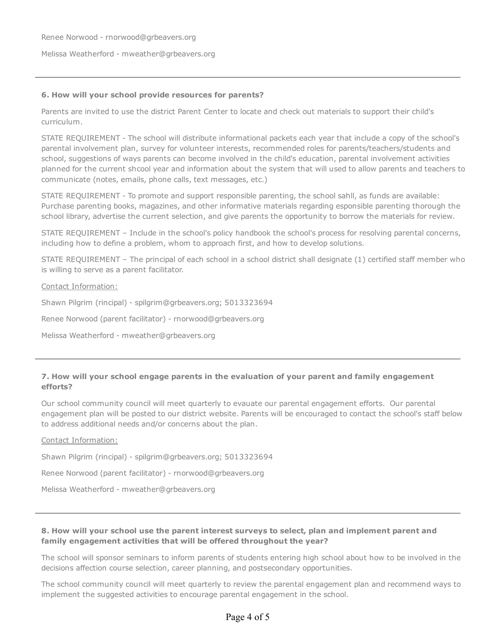Renee Norwood - rnorwood@grbeavers.org

Melissa Weatherford - mweather@grbeavers.org

#### 6. How will your school provide resources for parents?

Parents are invited to use the district Parent Center to locate and check out materials to support their child's curriculum.

STATE REQUIREMENT - The school will distribute informational packets each year that include a copy of the school's parental involvement plan, survey for volunteer interests, recommended roles for parents/teachers/students and school, suggestions of ways parents can become involved in the child's education, parental involvement activities planned for the current shcool year and information about the system that will used to allow parents and teachers to communicate (notes, emails, phone calls, text messages, etc.)

STATE REQUIREMENT - To promote and support responsible parenting, the school sahll, as funds are available: Purchase parenting books, magazines, and other informative materials regarding esponsible parenting thorough the school library, advertise the current selection, and give parents the opportunity to borrow the materials for review.

STATE REQUIREMENT – Include in the school's policy handbook the school's process for resolving parental concerns, including how to define a problem, whom to approach first, and how to develop solutions.

STATE REQUIREMENT – The principal of each school in a school district shall designate (1) certified staff member who is willing to serve as a parent facilitator.

#### Contact Information:

Shawn Pilgrim (rincipal) - spilgrim@grbeavers.org; 5013323694

Renee Norwood (parent facilitator) - rnorwood@grbeavers.org

Melissa Weatherford - mweather@grbeavers.org

## 7. How will your school engage parents in the evaluation of your parent and family engagement efforts?

Our school community council will meet quarterly to evauate our parental engagement efforts. Our parental engagement plan will be posted to our district website. Parents will be encouraged to contact the school's staff below to address additional needs and/or concerns about the plan.

#### Contact Information:

Shawn Pilgrim (rincipal) - spilgrim@grbeavers.org; 5013323694

Renee Norwood (parent facilitator) - rnorwood@grbeavers.org

Melissa Weatherford - mweather@grbeavers.org

## 8. How will your school use the parent interest surveys to select, plan and implement parent and family engagement activities that will be offered throughout the year?

The school will sponsor seminars to inform parents of students entering high school about how to be involved in the decisions affection course selection, career planning, and postsecondary opportunities.

The school community council will meet quarterly to review the parental engagement plan and recommend ways to implement the suggested activities to encourage parental engagement in the school.